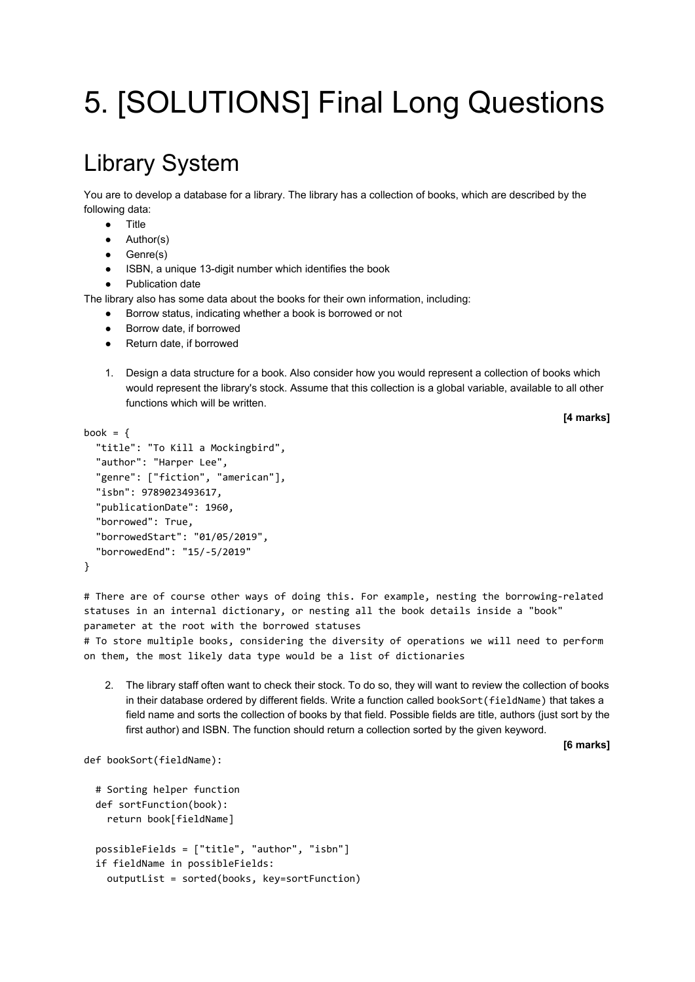## 5. [SOLUTIONS] Final Long Questions

## Library System

You are to develop a database for a library. The library has a collection of books, which are described by the following data:

- Title
- Author(s)
- Genre(s)
- ISBN, a unique 13-digit number which identifies the book
- Publication date

The library also has some data about the books for their own information, including:

- Borrow status, indicating whether a book is borrowed or not
- Borrow date, if borrowed
- Return date, if borrowed
- 1. Design a data structure for a book. Also consider how you would represent a collection of books which would represent the library's stock. Assume that this collection is a global variable, available to all other functions which will be written.

**[4 marks]**

```
book = \{ "title": "To Kill a Mockingbird",
   "author": "Harper Lee",
   "genre": ["fiction", "american"],
   "isbn": 9789023493617,
   "publicationDate": 1960,
   "borrowed": True,
   "borrowedStart": "01/05/2019",
   "borrowedEnd": "15/-5/2019"
}
```
# There are of course other ways of doing this. For example, nesting the borrowing-related statuses in an internal dictionary, or nesting all the book details inside a "book" parameter at the root with the borrowed statuses

# To store multiple books, considering the diversity of operations we will need to perform on them, the most likely data type would be a list of dictionaries

2. The library staff often want to check their stock. To do so, they will want to review the collection of books in their database ordered by different fields. Write a function called bookSort(fieldName) that takes a field name and sorts the collection of books by that field. Possible fields are title, authors (just sort by the first author) and ISBN. The function should return a collection sorted by the given keyword.

**[6 marks]**

```
def bookSort(fieldName):
```

```
 # Sorting helper function
 def sortFunction(book):
   return book[fieldName]
 possibleFields = ["title", "author", "isbn"]
 if fieldName in possibleFields:
   outputList = sorted(books, key=sortFunction)
```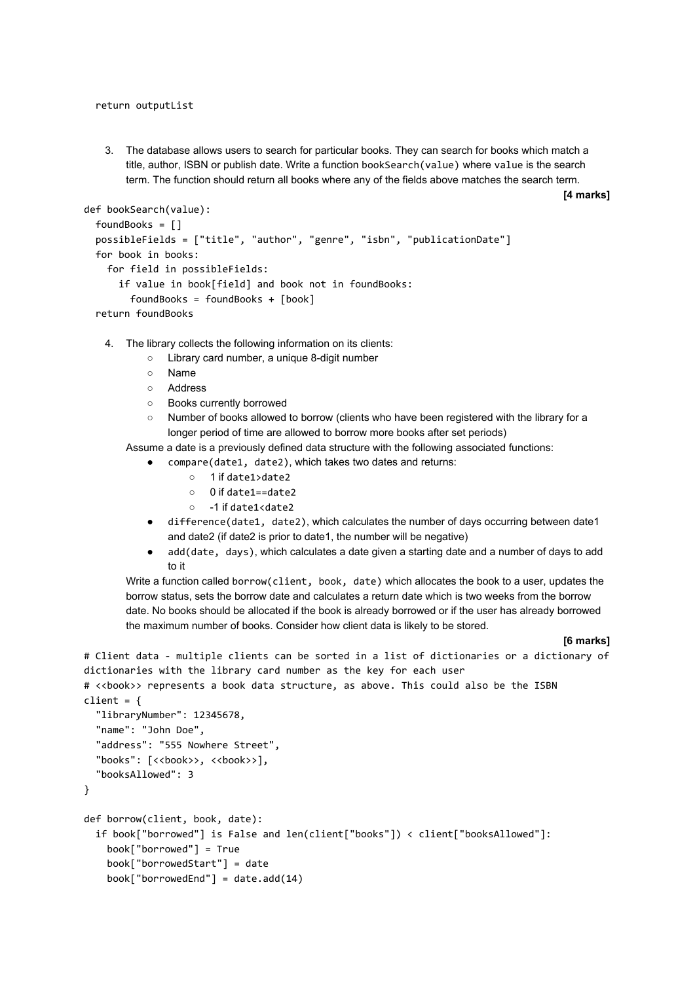return outputList

3. The database allows users to search for particular books. They can search for books which match a title, author, ISBN or publish date. Write a function bookSearch(value) where value is the search term. The function should return all books where any of the fields above matches the search term.

**[4 marks]**

```
def bookSearch(value):
   foundBooks = []
   possibleFields = ["title", "author", "genre", "isbn", "publicationDate"]
   for book in books:
     for field in possibleFields:
       if value in book[field] and book not in foundBooks:
         foundBooks = foundBooks + [book]
   return foundBooks
```
- 4. The library collects the following information on its clients:
	- Library card number, a unique 8-digit number
	- Name
	- Address
	- Books currently borrowed
	- Number of books allowed to borrow (clients who have been registered with the library for a longer period of time are allowed to borrow more books after set periods)

Assume a date is a previously defined data structure with the following associated functions:

- compare(date1, date2), which takes two dates and returns:
	- 1 if date1>date2
	- 0 if date1==date2
	- -1 if date1<date2
- difference(date1, date2), which calculates the number of days occurring between date1 and date2 (if date2 is prior to date1, the number will be negative)
- add(date, days), which calculates a date given a starting date and a number of days to add to it

Write a function called borrow(client, book, date) which allocates the book to a user, updates the borrow status, sets the borrow date and calculates a return date which is two weeks from the borrow date. No books should be allocated if the book is already borrowed or if the user has already borrowed the maximum number of books. Consider how client data is likely to be stored.

# Client data - multiple clients can be sorted in a list of dictionaries or a dictionary of

## **[6 marks]**

```
dictionaries with the library card number as the key for each user
# <<book>> represents a book data structure, as above. This could also be the ISBN
client = \{ "libraryNumber": 12345678,
   "name": "John Doe",
   "address": "555 Nowhere Street",
  "books": [<<br/>book>>, <<br/>book>>],
   "booksAllowed": 3
}
def borrow(client, book, date):
   if book["borrowed"] is False and len(client["books"]) < client["booksAllowed"]:
     book["borrowed"] = True
     book["borrowedStart"] = date
     book["borrowedEnd"] = date.add(14)
```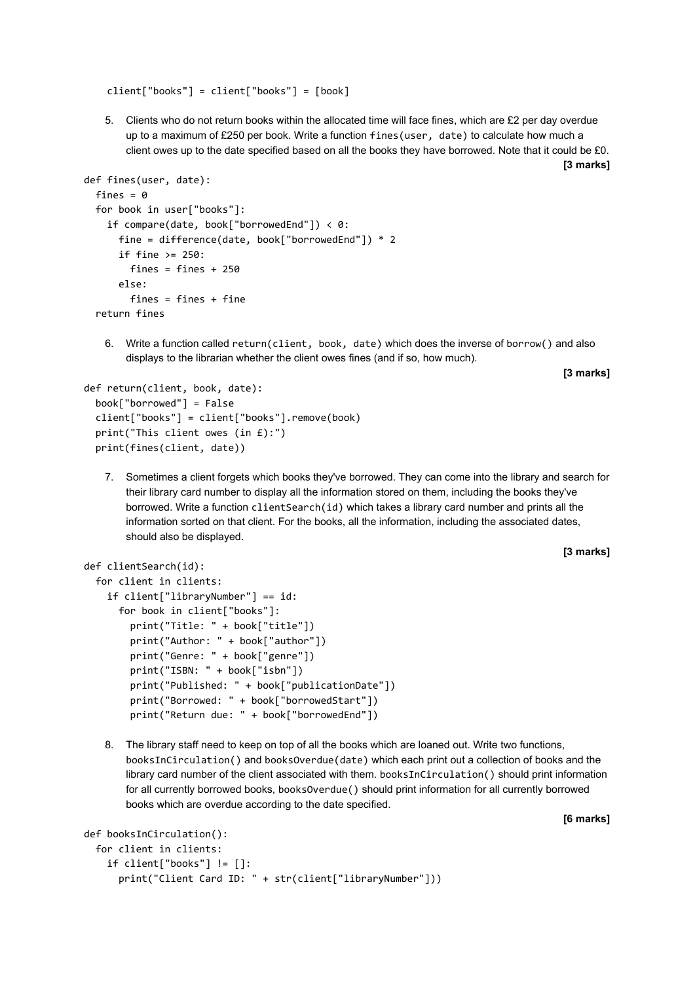client["books"] = client["books"] = [book]

5. Clients who do not return books within the allocated time will face fines, which are £2 per day overdue up to a maximum of £250 per book. Write a function fines(user, date) to calculate how much a client owes up to the date specified based on all the books they have borrowed. Note that it could be £0.

```
def fines(user, date):
 fines = 0 for book in user["books"]:
     if compare(date, book["borrowedEnd"]) < 0:
       fine = difference(date, book["borrowedEnd"]) * 2
      if fine >= 250:
        fines = fines + 250 else:
        fines = fines + fine return fines
```
6. Write a function called return(client, book, date) which does the inverse of borrow() and also displays to the librarian whether the client owes fines (and if so, how much).

```
[3 marks]
```
**[3 marks]**

**[3 marks]**

```
def return(client, book, date):
   book["borrowed"] = False
   client["books"] = client["books"].remove(book)
   print("This client owes (in £):")
   print(fines(client, date))
```
7. Sometimes a client forgets which books they've borrowed. They can come into the library and search for their library card number to display all the information stored on them, including the books they've borrowed. Write a function clientSearch(id) which takes a library card number and prints all the information sorted on that client. For the books, all the information, including the associated dates, should also be displayed.

```
def clientSearch(id):
```

```
 for client in clients:
   if client["libraryNumber"] == id:
     for book in client["books"]:
       print("Title: " + book["title"])
       print("Author: " + book["author"])
       print("Genre: " + book["genre"])
       print("ISBN: " + book["isbn"])
       print("Published: " + book["publicationDate"])
       print("Borrowed: " + book["borrowedStart"])
       print("Return due: " + book["borrowedEnd"])
```
8. The library staff need to keep on top of all the books which are loaned out. Write two functions, booksInCirculation() and booksOverdue(date) which each print out a collection of books and the library card number of the client associated with them. booksInCirculation() should print information for all currently borrowed books, booksOverdue() should print information for all currently borrowed books which are overdue according to the date specified.

```
[6 marks]
```

```
def booksInCirculation():
   for client in clients:
     if client["books"] != []:
       print("Client Card ID: " + str(client["libraryNumber"]))
```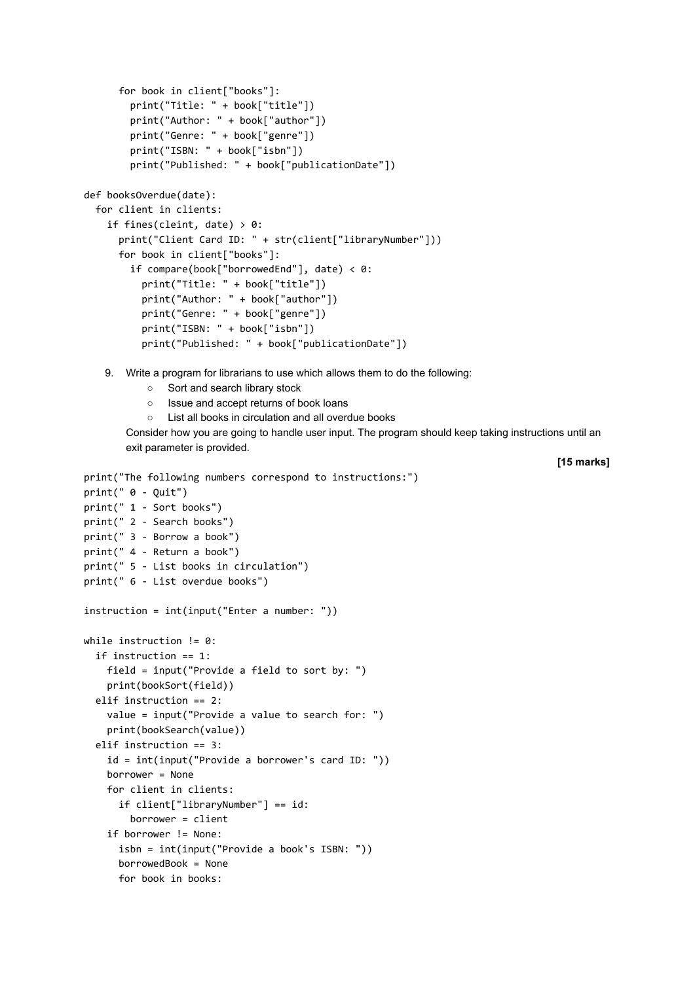```
 for book in client["books"]:
         print("Title: " + book["title"])
         print("Author: " + book["author"])
         print("Genre: " + book["genre"])
         print("ISBN: " + book["isbn"])
         print("Published: " + book["publicationDate"])
def booksOverdue(date):
   for client in clients:
    if fines(cleint, date) > 0:
       print("Client Card ID: " + str(client["libraryNumber"]))
       for book in client["books"]:
         if compare(book["borrowedEnd"], date) < 0:
           print("Title: " + book["title"])
           print("Author: " + book["author"])
           print("Genre: " + book["genre"])
           print("ISBN: " + book["isbn"])
           print("Published: " + book["publicationDate"])
```
- 9. Write a program for librarians to use which allows them to do the following:
	- Sort and search library stock
	- Issue and accept returns of book loans
	- List all books in circulation and all overdue books

Consider how you are going to handle user input. The program should keep taking instructions until an exit parameter is provided.

**[15 marks]**

```
print("The following numbers correspond to instructions:")
print(" 0 - Quit")
print(" 1 - Sort books")
print(" 2 - Search books")
print(" 3 - Borrow a book")
print(" 4 - Return a book")
print(" 5 - List books in circulation")
print(" 6 - List overdue books")
instruction = int(input("Enter a number: "))
while instruction != 0:
   if instruction == 1:
    field = input("Provide a field to sort by: ")
     print(bookSort(field))
   elif instruction == 2:
     value = input("Provide a value to search for: ")
     print(bookSearch(value))
   elif instruction == 3:
     id = int(input("Provide a borrower's card ID: "))
     borrower = None
     for client in clients:
       if client["libraryNumber"] == id:
         borrower = client
     if borrower != None:
       isbn = int(input("Provide a book's ISBN: "))
       borrowedBook = None
       for book in books:
```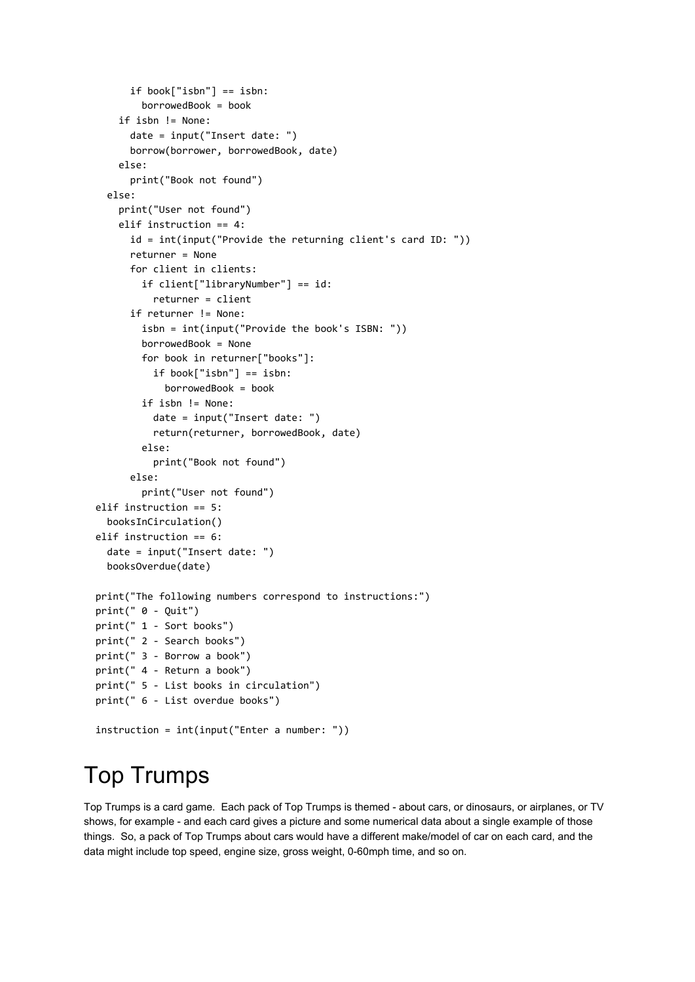```
 if book["isbn"] == isbn:
         borrowedBook = book
     if isbn != None:
       date = input("Insert date: ")
       borrow(borrower, borrowedBook, date)
     else:
       print("Book not found")
   else:
     print("User not found")
     elif instruction == 4:
       id = int(input("Provide the returning client's card ID: "))
       returner = None
       for client in clients:
         if client["libraryNumber"] == id:
           returner = client
       if returner != None:
         isbn = int(input("Provide the book's ISBN: "))
         borrowedBook = None
         for book in returner["books"]:
           if book["isbn"] == isbn:
             borrowedBook = book
         if isbn != None:
           date = input("Insert date: ")
           return(returner, borrowedBook, date)
         else:
           print("Book not found")
       else:
         print("User not found")
 elif instruction == 5:
   booksInCirculation()
 elif instruction == 6:
   date = input("Insert date: ")
   booksOverdue(date)
 print("The following numbers correspond to instructions:")
 print(" 0 - Quit")
 print(" 1 - Sort books")
 print(" 2 - Search books")
 print(" 3 - Borrow a book")
 print(" 4 - Return a book")
 print(" 5 - List books in circulation")
 print(" 6 - List overdue books")
 instruction = int(input("Enter a number: "))
```
## Top Trumps

Top Trumps is a card game. Each pack of Top Trumps is themed - about cars, or dinosaurs, or airplanes, or TV shows, for example - and each card gives a picture and some numerical data about a single example of those things. So, a pack of Top Trumps about cars would have a different make/model of car on each card, and the data might include top speed, engine size, gross weight, 0-60mph time, and so on.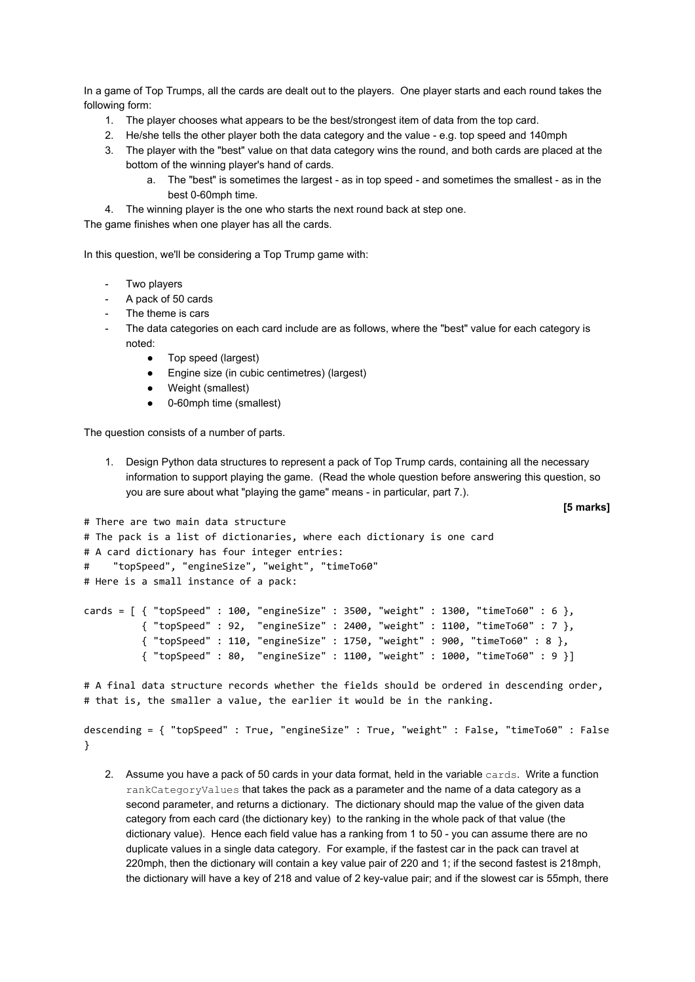In a game of Top Trumps, all the cards are dealt out to the players. One player starts and each round takes the following form:

- 1. The player chooses what appears to be the best/strongest item of data from the top card.
- 2. He/she tells the other player both the data category and the value e.g. top speed and 140mph
- 3. The player with the "best" value on that data category wins the round, and both cards are placed at the bottom of the winning player's hand of cards.
	- a. The "best" is sometimes the largest as in top speed and sometimes the smallest as in the best 0-60mph time.
- 4. The winning player is the one who starts the next round back at step one.

The game finishes when one player has all the cards.

In this question, we'll be considering a Top Trump game with:

- Two players
- A pack of 50 cards
- The theme is cars
- The data categories on each card include are as follows, where the "best" value for each category is noted:
	- Top speed (largest)
	- Engine size (in cubic centimetres) (largest)
	- Weight (smallest)
	- 0-60mph time (smallest)

The question consists of a number of parts.

1. Design Python data structures to represent a pack of Top Trump cards, containing all the necessary information to support playing the game. (Read the whole question before answering this question, so you are sure about what "playing the game" means - in particular, part 7.).

**[5 marks]**

```
# There are two main data structure
# The pack is a list of dictionaries, where each dictionary is one card
# A card dictionary has four integer entries:
# "topSpeed", "engineSize", "weight", "timeTo60"
# Here is a small instance of a pack:
cards = [ { "topSpeed" : 100, "engineSize" : 3500, "weight" : 1300, "timeTo60" : 6 },
           { "topSpeed" : 92, "engineSize" : 2400, "weight" : 1100, "timeTo60" : 7 },
           { "topSpeed" : 110, "engineSize" : 1750, "weight" : 900, "timeTo60" : 8 },
           { "topSpeed" : 80, "engineSize" : 1100, "weight" : 1000, "timeTo60" : 9 }]
# A final data structure records whether the fields should be ordered in descending order,
# that is, the smaller a value, the earlier it would be in the ranking.
```

```
descending = { "topSpeed" : True, "engineSize" : True, "weight" : False, "timeTo60" : False
}
```
2. Assume you have a pack of 50 cards in your data format, held in the variable cards. Write a function rankCategoryValues that takes the pack as a parameter and the name of a data category as a second parameter, and returns a dictionary. The dictionary should map the value of the given data category from each card (the dictionary key) to the ranking in the whole pack of that value (the dictionary value). Hence each field value has a ranking from 1 to 50 - you can assume there are no duplicate values in a single data category. For example, if the fastest car in the pack can travel at 220mph, then the dictionary will contain a key value pair of 220 and 1; if the second fastest is 218mph, the dictionary will have a key of 218 and value of 2 key-value pair; and if the slowest car is 55mph, there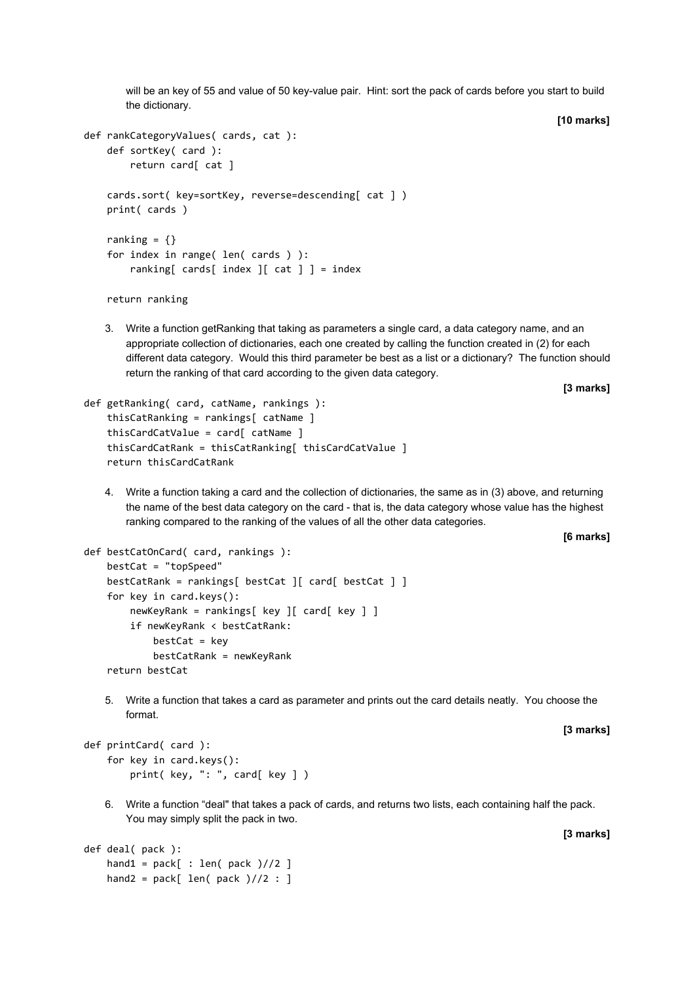will be an key of 55 and value of 50 key-value pair. Hint: sort the pack of cards before you start to build the dictionary.

**[10 marks]**

```
def rankCategoryValues( cards, cat ):
     def sortKey( card ):
         return card[ cat ]
     cards.sort( key=sortKey, reverse=descending[ cat ] )
     print( cards )
    ranking = \{\} for index in range( len( cards ) ):
        ranking[ cards[ index | cat | ] = index
     return ranking
```
3. Write a function getRanking that taking as parameters a single card, a data category name, and an appropriate collection of dictionaries, each one created by calling the function created in (2) for each different data category. Would this third parameter be best as a list or a dictionary? The function should return the ranking of that card according to the given data category.

**[3 marks]**

```
def getRanking( card, catName, rankings ):
     thisCatRanking = rankings[ catName ]
     thisCardCatValue = card[ catName ]
     thisCardCatRank = thisCatRanking[ thisCardCatValue ]
     return thisCardCatRank
```
4. Write a function taking a card and the collection of dictionaries, the same as in (3) above, and returning the name of the best data category on the card - that is, the data category whose value has the highest ranking compared to the ranking of the values of all the other data categories.

**[6 marks]**

```
def bestCatOnCard( card, rankings ):
     bestCat = "topSpeed"
     bestCatRank = rankings[ bestCat ][ card[ bestCat ] ]
     for key in card.keys():
         newKeyRank = rankings[ key ][ card[ key ] ]
         if newKeyRank < bestCatRank:
            bestCat = key bestCatRank = newKeyRank
     return bestCat
```
5. Write a function that takes a card as parameter and prints out the card details neatly. You choose the format.

**[3 marks]**

```
def printCard( card ):
     for key in card.keys():
         print( key, ": ", card[ key ] )
```
6. Write a function "deal" that takes a pack of cards, and returns two lists, each containing half the pack. You may simply split the pack in two.

```
def deal( pack ):
    hand1 = pack[ : len( pack )//2 ]
    hand2 = pack[len(<i>pack</i>)//2 : ]
```
**[3 marks]**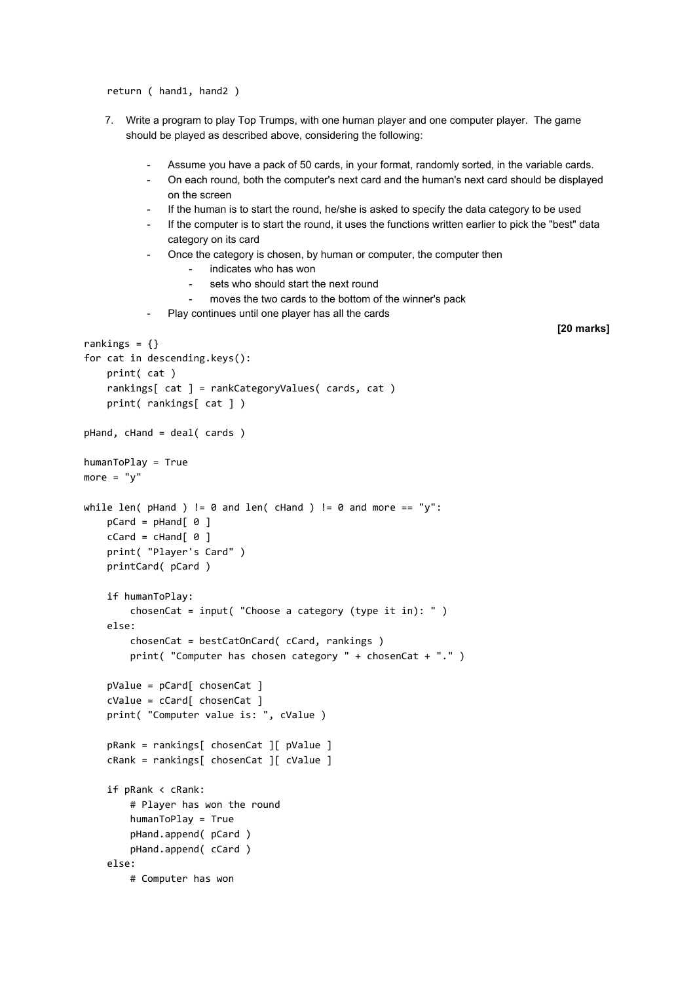return ( hand1, hand2 )

- 7. Write a program to play Top Trumps, with one human player and one computer player. The game should be played as described above, considering the following:
	- Assume you have a pack of 50 cards, in your format, randomly sorted, in the variable cards.
	- On each round, both the computer's next card and the human's next card should be displayed on the screen
	- If the human is to start the round, he/she is asked to specify the data category to be used
	- If the computer is to start the round, it uses the functions written earlier to pick the "best" data category on its card
	- Once the category is chosen, by human or computer, the computer then
		- indicates who has won
		- sets who should start the next round
		- moves the two cards to the bottom of the winner's pack
	- Play continues until one player has all the cards

```
[20 marks]
```

```
rankings = \{\}for cat in descending.keys():
     print( cat )
     rankings[ cat ] = rankCategoryValues( cards, cat )
     print( rankings[ cat ] )
pHand, cHand = deal( cards )
humanToPlay = True
more = "v"while len( pHand ) != 0 and len( cHand ) != 0 and more == "y":
    pCard = pHand[ 0 ]cCard = cHand[ 0 ] print( "Player's Card" )
     printCard( pCard )
     if humanToPlay:
         chosenCat = input( "Choose a category (type it in): " )
     else:
         chosenCat = bestCatOnCard( cCard, rankings )
         print( "Computer has chosen category " + chosenCat + "." )
     pValue = pCard[ chosenCat ]
     cValue = cCard[ chosenCat ]
     print( "Computer value is: ", cValue )
     pRank = rankings[ chosenCat ][ pValue ]
     cRank = rankings[ chosenCat ][ cValue ]
     if pRank < cRank:
         # Player has won the round
         humanToPlay = True
         pHand.append( pCard )
         pHand.append( cCard )
     else:
         # Computer has won
```